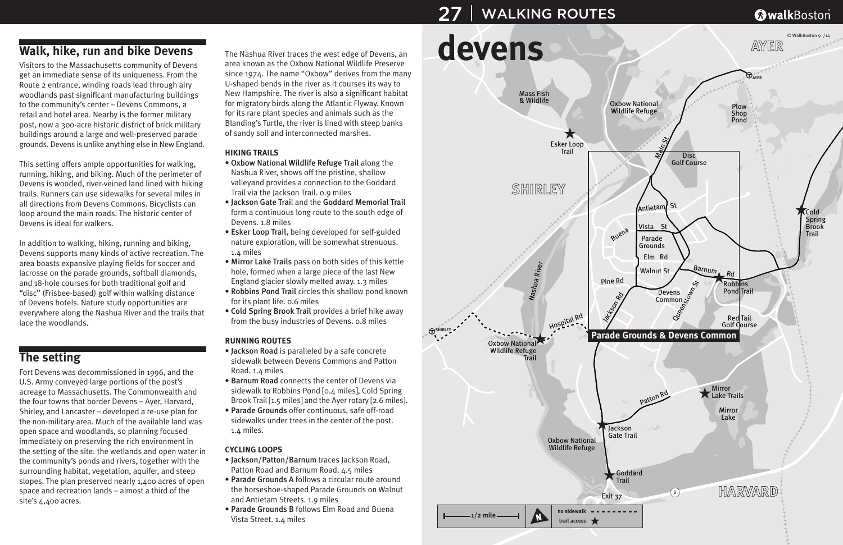# **Walk, hike, run and bike Devens**

Visitors to the Massachusetts community of Devens get an immediate sense of its uniqueness. From the Route 2 entrance, winding roads lead through airy woodlands past significant manufacturing buildings to the community's center – Devens Commons, a retail and hotel area. Nearby is the former military post, now a 300-acre historic district of brick military buildings around a large and well-preserved parade grounds. Devens is unlike anything else in New England.

This setting offers ample opportunities for walking, running, hiking, and biking. Much of the perimeter of Devens is wooded, river-veined land lined with hiking trails. Runners can use sidewalks for several miles in all directions from Devens Commons. Bicyclists can loop around the main roads. The historic center of Devens is ideal for walkers.

In addition to walking, hiking, running and biking, Devens supports many kinds of active recreation. The area boasts expansive playing fields for soccer and lacrosse on the parade grounds, softball diamonds, and 18-hole courses for both traditional golf and "disc" (Frisbee-based) golf within walking distance of Devens hotels. Nature study opportunities are everywhere along the Nashua River and the trails that lace the woodlands.

## **The setting**

Fort Devens was decommissioned in 1996, and the U.S. Army conveyed large portions of the post's acreage to Massachusetts. The Commonwealth and the four towns that border Devens – Ayer, Harvard, Shirley, and Lancaster – developed a re-use plan for the non-military area. Much of the available land was open space and woodlands, so planning focused immediately on preserving the rich environment in the setting of the site: the wetlands and open water in the community's ponds and rivers, together with the surrounding habitat, vegetation, aquifer, and steep slopes. The plan preserved nearly 1,400 acres of open space and recreation lands – almost a third of the site's 4,400 acres.

The Nashua River traces the west edge of Devens, an area known as the Oxbow National Wildlife Preserve since 1974. The name "Oxbow" derives from the many U-shaped bends in the river as it courses its way to New Hampshire. The river is also a significant habitat for migratory birds along the Atlantic Flyway. Known for its rare plant species and animals such as the Blanding's Turtle, the river is lined with steep banks of sandy soil and interconnected marshes.

#### **HIKING TRAILS**

- Oxbow National Wildlife Refuge Trail along the Nashua River, shows off the pristine, shallow valleyand provides a connection to the Goddard Trail via the Jackson Trail. 0.9 miles
- Jackson Gate Trail and the Goddard Memorial Trail form a continuous long route to the south edge of Devens. 1.8 miles
- Esker Loop Trail, being developed for self-guided nature exploration, will be somewhat strenuous. 1.4 miles
- Mirror Lake Trails pass on both sides of this kettle hole, formed when a large piece of the last New England glacier slowly melted away. 1.3 miles
- Robbins Pond Trail circles this shallow pond known for its plant life. 0.6 miles
- Cold Spring Brook Trail provides a brief hike away from the busy industries of Devens. 0.8 miles

#### **RUNNING ROUTES**

- Jackson Road is paralleled by a safe concrete sidewalk between Devens Commons and Patton Road. 1.4 miles
- Barnum Road connects the center of Devens via sidewalk to Robbins Pond [0.4 miles], Cold Spring Brook Trail [1.5 miles] and the Ayer rotary [2.6 miles].
- Parade Grounds offer continuous, safe off-road sidewalks under trees in the center of the post. 1.4 miles.

#### **CYCLING LOOPS**

- Jackson/Patton/Barnum traces Jackson Road, Patton Road and Barnum Road. 4.5 miles
- Parade Grounds A follows a circular route around the horseshoe-shaped Parade Grounds on Walnut and Antietam Streets. 1.9 miles
- Parade Grounds B follows Elm Road and Buena Vista Street. 1.4 miles



## **@walkBoston**